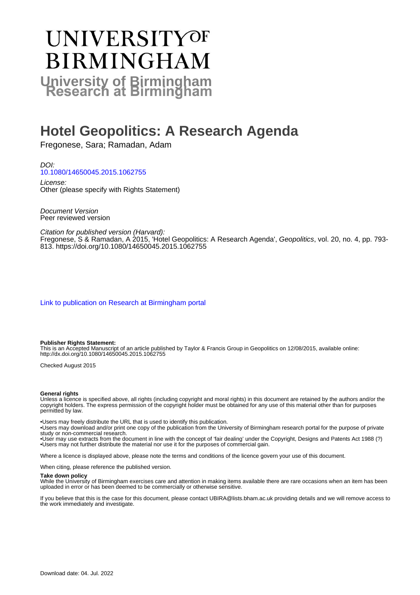# **UNIVERSITYOF BIRMINGHAM University of Birmingham**

# **Hotel Geopolitics: A Research Agenda**

Fregonese, Sara; Ramadan, Adam

DOI: [10.1080/14650045.2015.1062755](https://doi.org/10.1080/14650045.2015.1062755)

License: Other (please specify with Rights Statement)

Document Version Peer reviewed version

Citation for published version (Harvard): Fregonese, S & Ramadan, A 2015, 'Hotel Geopolitics: A Research Agenda', Geopolitics, vol. 20, no. 4, pp. 793- 813.<https://doi.org/10.1080/14650045.2015.1062755>

[Link to publication on Research at Birmingham portal](https://birmingham.elsevierpure.com/en/publications/c566dd73-f10d-4a93-b1b5-3dd90b66a2dd)

#### **Publisher Rights Statement:**

This is an Accepted Manuscript of an article published by Taylor & Francis Group in Geopolitics on 12/08/2015, available online: http://dx.doi.org/10.1080/14650045.2015.1062755

Checked August 2015

#### **General rights**

Unless a licence is specified above, all rights (including copyright and moral rights) in this document are retained by the authors and/or the copyright holders. The express permission of the copyright holder must be obtained for any use of this material other than for purposes permitted by law.

• Users may freely distribute the URL that is used to identify this publication.

• Users may download and/or print one copy of the publication from the University of Birmingham research portal for the purpose of private study or non-commercial research.

• User may use extracts from the document in line with the concept of 'fair dealing' under the Copyright, Designs and Patents Act 1988 (?) • Users may not further distribute the material nor use it for the purposes of commercial gain.

Where a licence is displayed above, please note the terms and conditions of the licence govern your use of this document.

When citing, please reference the published version.

#### **Take down policy**

While the University of Birmingham exercises care and attention in making items available there are rare occasions when an item has been uploaded in error or has been deemed to be commercially or otherwise sensitive.

If you believe that this is the case for this document, please contact UBIRA@lists.bham.ac.uk providing details and we will remove access to the work immediately and investigate.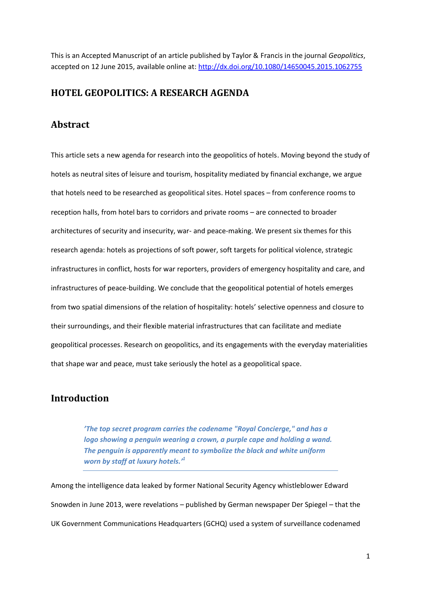This is an Accepted Manuscript of an article published by Taylor & Francis in the journal *Geopolitics*, accepted on 12 June 2015, available online at[: http://dx.doi.org/10.1080/14650045.2015.1062755](http://dx.doi.org/10.1080/14650045.2015.1062755)

# **HOTEL GEOPOLITICS: A RESEARCH AGENDA**

#### **Abstract**

This article sets a new agenda for research into the geopolitics of hotels. Moving beyond the study of hotels as neutral sites of leisure and tourism, hospitality mediated by financial exchange, we argue that hotels need to be researched as geopolitical sites. Hotel spaces – from conference rooms to reception halls, from hotel bars to corridors and private rooms – are connected to broader architectures of security and insecurity, war- and peace-making. We present six themes for this research agenda: hotels as projections of soft power, soft targets for political violence, strategic infrastructures in conflict, hosts for war reporters, providers of emergency hospitality and care, and infrastructures of peace-building. We conclude that the geopolitical potential of hotels emerges from two spatial dimensions of the relation of hospitality: hotels' selective openness and closure to their surroundings, and their flexible material infrastructures that can facilitate and mediate geopolitical processes. Research on geopolitics, and its engagements with the everyday materialities that shape war and peace, must take seriously the hotel as a geopolitical space.

## **Introduction**

*'The top secret program carries the codename "Royal Concierge," and has a logo showing a penguin wearing a crown, a purple cape and holding a wand. The penguin is apparently meant to symbolize the black and white uniform worn by staff at luxury hotels.'<sup>1</sup>*

Among the intelligence data leaked by former National Security Agency whistleblower Edward Snowden in June 2013, were revelations – published by German newspaper Der Spiegel – that the UK Government Communications Headquarters (GCHQ) used a system of surveillance codenamed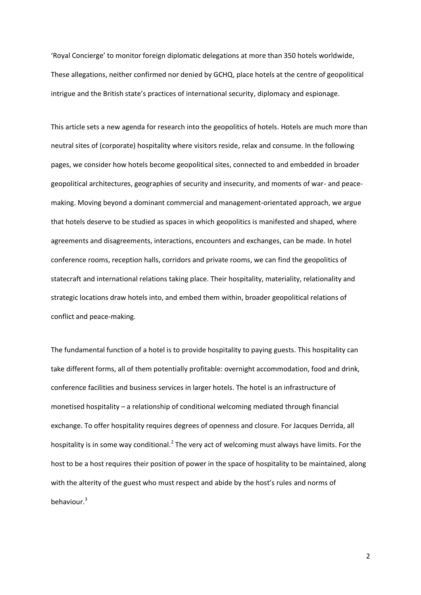'Royal Concierge' to monitor foreign diplomatic delegations at more than 350 hotels worldwide, These allegations, neither confirmed nor denied by GCHQ, place hotels at the centre of geopolitical intrigue and the British state's practices of international security, diplomacy and espionage.

This article sets a new agenda for research into the geopolitics of hotels. Hotels are much more than neutral sites of (corporate) hospitality where visitors reside, relax and consume. In the following pages, we consider how hotels become geopolitical sites, connected to and embedded in broader geopolitical architectures, geographies of security and insecurity, and moments of war- and peacemaking. Moving beyond a dominant commercial and management-orientated approach, we argue that hotels deserve to be studied as spaces in which geopolitics is manifested and shaped, where agreements and disagreements, interactions, encounters and exchanges, can be made. In hotel conference rooms, reception halls, corridors and private rooms, we can find the geopolitics of statecraft and international relations taking place. Their hospitality, materiality, relationality and strategic locations draw hotels into, and embed them within, broader geopolitical relations of conflict and peace-making.

The fundamental function of a hotel is to provide hospitality to paying guests. This hospitality can take different forms, all of them potentially profitable: overnight accommodation, food and drink, conference facilities and business services in larger hotels. The hotel is an infrastructure of monetised hospitality – a relationship of conditional welcoming mediated through financial exchange. To offer hospitality requires degrees of openness and closure. For Jacques Derrida, all hospitality is in some way conditional.<sup>2</sup> The very act of welcoming must always have limits. For the host to be a host requires their position of power in the space of hospitality to be maintained, along with the alterity of the guest who must respect and abide by the host's rules and norms of behaviour. 3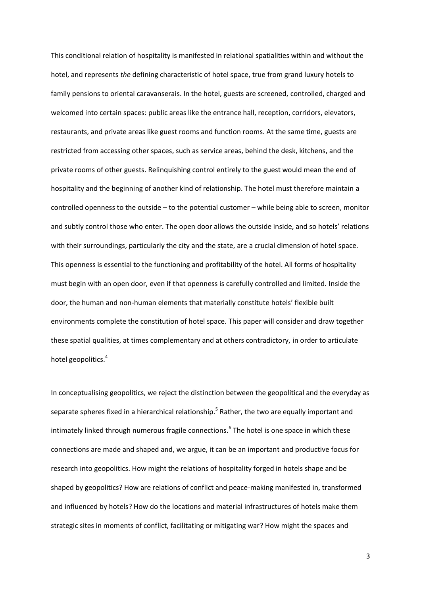This conditional relation of hospitality is manifested in relational spatialities within and without the hotel, and represents *the* defining characteristic of hotel space, true from grand luxury hotels to family pensions to oriental caravanserais. In the hotel, guests are screened, controlled, charged and welcomed into certain spaces: public areas like the entrance hall, reception, corridors, elevators, restaurants, and private areas like guest rooms and function rooms. At the same time, guests are restricted from accessing other spaces, such as service areas, behind the desk, kitchens, and the private rooms of other guests. Relinquishing control entirely to the guest would mean the end of hospitality and the beginning of another kind of relationship. The hotel must therefore maintain a controlled openness to the outside – to the potential customer – while being able to screen, monitor and subtly control those who enter. The open door allows the outside inside, and so hotels' relations with their surroundings, particularly the city and the state, are a crucial dimension of hotel space. This openness is essential to the functioning and profitability of the hotel. All forms of hospitality must begin with an open door, even if that openness is carefully controlled and limited. Inside the door, the human and non-human elements that materially constitute hotels' flexible built environments complete the constitution of hotel space. This paper will consider and draw together these spatial qualities, at times complementary and at others contradictory, in order to articulate hotel geopolitics.<sup>4</sup>

In conceptualising geopolitics, we reject the distinction between the geopolitical and the everyday as separate spheres fixed in a hierarchical relationship.<sup>5</sup> Rather, the two are equally important and intimately linked through numerous fragile connections.<sup>6</sup> The hotel is one space in which these connections are made and shaped and, we argue, it can be an important and productive focus for research into geopolitics. How might the relations of hospitality forged in hotels shape and be shaped by geopolitics? How are relations of conflict and peace-making manifested in, transformed and influenced by hotels? How do the locations and material infrastructures of hotels make them strategic sites in moments of conflict, facilitating or mitigating war? How might the spaces and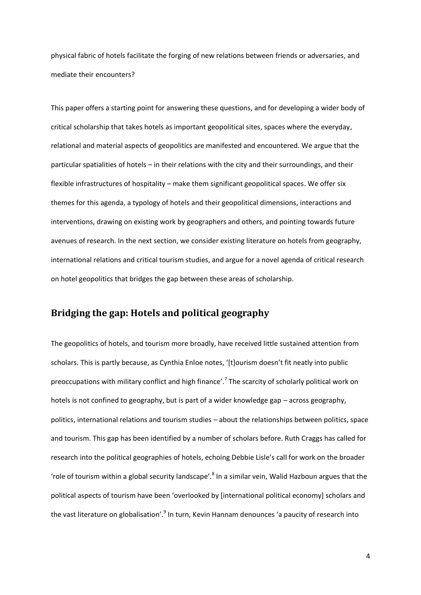physical fabric of hotels facilitate the forging of new relations between friends or adversaries, and mediate their encounters?

This paper offers a starting point for answering these questions, and for developing a wider body of critical scholarship that takes hotels as important geopolitical sites, spaces where the everyday, relational and material aspects of geopolitics are manifested and encountered. We argue that the particular spatialities of hotels – in their relations with the city and their surroundings, and their flexible infrastructures of hospitality – make them significant geopolitical spaces. We offer six themes for this agenda, a typology of hotels and their geopolitical dimensions, interactions and interventions, drawing on existing work by geographers and others, and pointing towards future avenues of research. In the next section, we consider existing literature on hotels from geography, international relations and critical tourism studies, and argue for a novel agenda of critical research on hotel geopolitics that bridges the gap between these areas of scholarship.

### **Bridging the gap: Hotels and political geography**

The geopolitics of hotels, and tourism more broadly, have received little sustained attention from scholars. This is partly because, as Cynthia Enloe notes, '[t]ourism doesn't fit neatly into public preoccupations with military conflict and high finance'.<sup>7</sup> The scarcity of scholarly political work on hotels is not confined to geography, but is part of a wider knowledge gap – across geography, politics, international relations and tourism studies – about the relationships between politics, space and tourism. This gap has been identified by a number of scholars before. Ruth Craggs has called for research into the political geographies of hotels, echoing Debbie Lisle's call for work on the broader 'role of tourism within a global security landscape'.<sup>8</sup> In a similar vein, Walid Hazboun argues that the political aspects of tourism have been 'overlooked by [international political economy] scholars and the vast literature on globalisation'.<sup>9</sup> In turn, Kevin Hannam denounces 'a paucity of research into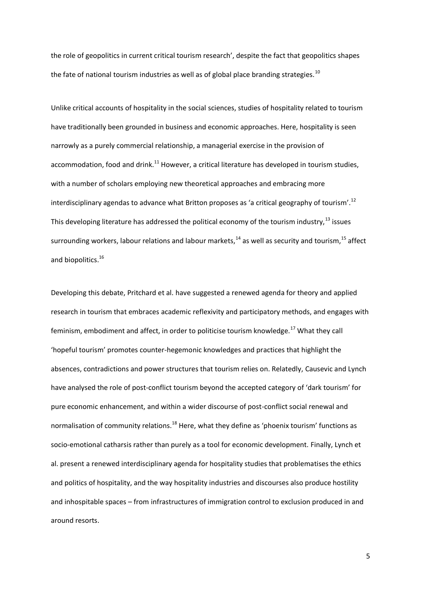the role of geopolitics in current critical tourism research', despite the fact that geopolitics shapes the fate of national tourism industries as well as of global place branding strategies.<sup>10</sup>

Unlike critical accounts of hospitality in the social sciences, studies of hospitality related to tourism have traditionally been grounded in business and economic approaches. Here, hospitality is seen narrowly as a purely commercial relationship, a managerial exercise in the provision of accommodation, food and drink.<sup>11</sup> However, a critical literature has developed in tourism studies, with a number of scholars employing new theoretical approaches and embracing more interdisciplinary agendas to advance what Britton proposes as 'a critical geography of tourism'.<sup>12</sup> This developing literature has addressed the political economy of the tourism industry,<sup>13</sup> issues surrounding workers, labour relations and labour markets, $^{14}$  as well as security and tourism,  $^{15}$  affect and biopolitics.<sup>16</sup>

Developing this debate, Pritchard et al. have suggested a renewed agenda for theory and applied research in tourism that embraces academic reflexivity and participatory methods, and engages with feminism, embodiment and affect, in order to politicise tourism knowledge.<sup>17</sup> What they call 'hopeful tourism' promotes counter-hegemonic knowledges and practices that highlight the absences, contradictions and power structures that tourism relies on. Relatedly, Causevic and Lynch have analysed the role of post-conflict tourism beyond the accepted category of 'dark tourism' for pure economic enhancement, and within a wider discourse of post-conflict social renewal and normalisation of community relations.<sup>18</sup> Here, what they define as 'phoenix tourism' functions as socio-emotional catharsis rather than purely as a tool for economic development. Finally, Lynch et al. present a renewed interdisciplinary agenda for hospitality studies that problematises the ethics and politics of hospitality, and the way hospitality industries and discourses also produce hostility and inhospitable spaces – from infrastructures of immigration control to exclusion produced in and around resorts.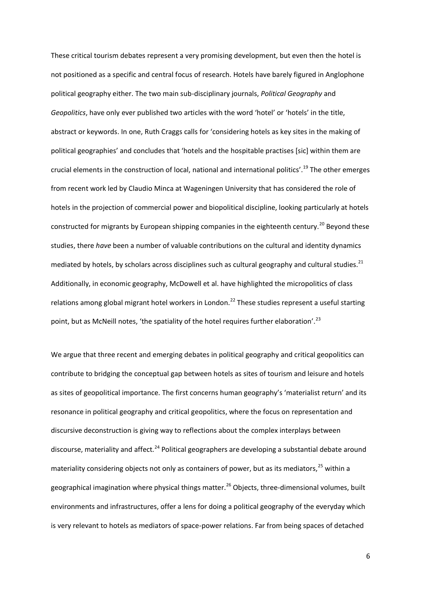These critical tourism debates represent a very promising development, but even then the hotel is not positioned as a specific and central focus of research. Hotels have barely figured in Anglophone political geography either. The two main sub-disciplinary journals, *Political Geography* and *Geopolitics*, have only ever published two articles with the word 'hotel' or 'hotels' in the title, abstract or keywords. In one, Ruth Craggs calls for 'considering hotels as key sites in the making of political geographies' and concludes that 'hotels and the hospitable practises [sic] within them are crucial elements in the construction of local, national and international politics'.<sup>19</sup> The other emerges from recent work led by Claudio Minca at Wageningen University that has considered the role of hotels in the projection of commercial power and biopolitical discipline, looking particularly at hotels constructed for migrants by European shipping companies in the eighteenth century.<sup>20</sup> Beyond these studies, there *have* been a number of valuable contributions on the cultural and identity dynamics mediated by hotels, by scholars across disciplines such as cultural geography and cultural studies. $^{21}$ Additionally, in economic geography, McDowell et al. have highlighted the micropolitics of class relations among global migrant hotel workers in London.<sup>22</sup> These studies represent a useful starting point, but as McNeill notes, 'the spatiality of the hotel requires further elaboration'.<sup>23</sup>

We argue that three recent and emerging debates in political geography and critical geopolitics can contribute to bridging the conceptual gap between hotels as sites of tourism and leisure and hotels as sites of geopolitical importance. The first concerns human geography's 'materialist return' and its resonance in political geography and critical geopolitics, where the focus on representation and discursive deconstruction is giving way to reflections about the complex interplays between discourse, materiality and affect.<sup>24</sup> Political geographers are developing a substantial debate around materiality considering objects not only as containers of power, but as its mediators,  $25$  within a geographical imagination where physical things matter.<sup>26</sup> Objects, three-dimensional volumes, built environments and infrastructures, offer a lens for doing a political geography of the everyday which is very relevant to hotels as mediators of space-power relations. Far from being spaces of detached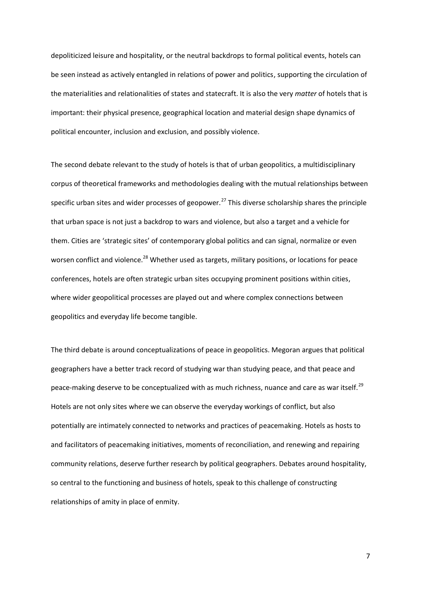depoliticized leisure and hospitality, or the neutral backdrops to formal political events, hotels can be seen instead as actively entangled in relations of power and politics, supporting the circulation of the materialities and relationalities of states and statecraft. It is also the very *matter* of hotels that is important: their physical presence, geographical location and material design shape dynamics of political encounter, inclusion and exclusion, and possibly violence.

The second debate relevant to the study of hotels is that of urban geopolitics, a multidisciplinary corpus of theoretical frameworks and methodologies dealing with the mutual relationships between specific urban sites and wider processes of geopower.<sup>27</sup> This diverse scholarship shares the principle that urban space is not just a backdrop to wars and violence, but also a target and a vehicle for them. Cities are 'strategic sites' of contemporary global politics and can signal, normalize or even worsen conflict and violence.<sup>28</sup> Whether used as targets, military positions, or locations for peace conferences, hotels are often strategic urban sites occupying prominent positions within cities, where wider geopolitical processes are played out and where complex connections between geopolitics and everyday life become tangible.

The third debate is around conceptualizations of peace in geopolitics. Megoran argues that political geographers have a better track record of studying war than studying peace, and that peace and peace-making deserve to be conceptualized with as much richness, nuance and care as war itself.<sup>29</sup> Hotels are not only sites where we can observe the everyday workings of conflict, but also potentially are intimately connected to networks and practices of peacemaking. Hotels as hosts to and facilitators of peacemaking initiatives, moments of reconciliation, and renewing and repairing community relations, deserve further research by political geographers. Debates around hospitality, so central to the functioning and business of hotels, speak to this challenge of constructing relationships of amity in place of enmity.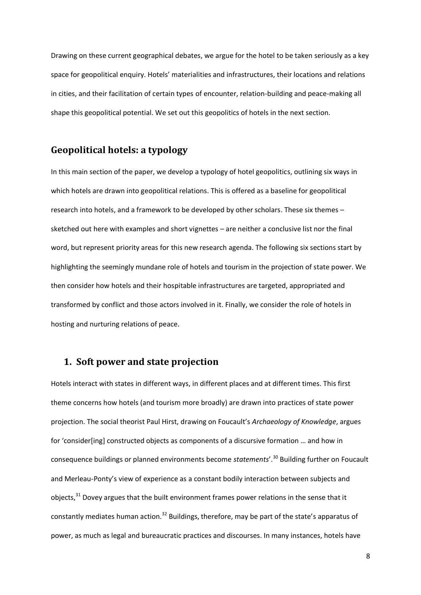Drawing on these current geographical debates, we argue for the hotel to be taken seriously as a key space for geopolitical enquiry. Hotels' materialities and infrastructures, their locations and relations in cities, and their facilitation of certain types of encounter, relation-building and peace-making all shape this geopolitical potential. We set out this geopolitics of hotels in the next section.

#### **Geopolitical hotels: a typology**

In this main section of the paper, we develop a typology of hotel geopolitics, outlining six ways in which hotels are drawn into geopolitical relations. This is offered as a baseline for geopolitical research into hotels, and a framework to be developed by other scholars. These six themes – sketched out here with examples and short vignettes – are neither a conclusive list nor the final word, but represent priority areas for this new research agenda. The following six sections start by highlighting the seemingly mundane role of hotels and tourism in the projection of state power. We then consider how hotels and their hospitable infrastructures are targeted, appropriated and transformed by conflict and those actors involved in it. Finally, we consider the role of hotels in hosting and nurturing relations of peace.

#### **1. Soft power and state projection**

Hotels interact with states in different ways, in different places and at different times. This first theme concerns how hotels (and tourism more broadly) are drawn into practices of state power projection. The social theorist Paul Hirst, drawing on Foucault's *Archaeology of Knowledge*, argues for 'consider[ing] constructed objects as components of a discursive formation … and how in consequence buildings or planned environments become *statements*'.<sup>30</sup> Building further on Foucault and Merleau-Ponty's view of experience as a constant bodily interaction between subjects and objects, $31$  Dovey argues that the built environment frames power relations in the sense that it constantly mediates human action.<sup>32</sup> Buildings, therefore, may be part of the state's apparatus of power, as much as legal and bureaucratic practices and discourses. In many instances, hotels have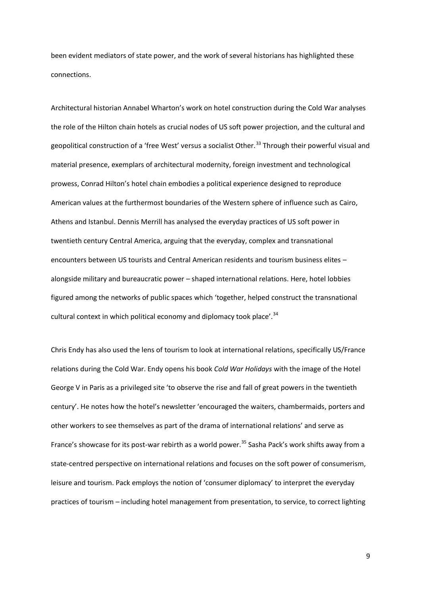been evident mediators of state power, and the work of several historians has highlighted these connections.

Architectural historian Annabel Wharton's work on hotel construction during the Cold War analyses the role of the Hilton chain hotels as crucial nodes of US soft power projection, and the cultural and geopolitical construction of a 'free West' versus a socialist Other.<sup>33</sup> Through their powerful visual and material presence, exemplars of architectural modernity, foreign investment and technological prowess, Conrad Hilton's hotel chain embodies a political experience designed to reproduce American values at the furthermost boundaries of the Western sphere of influence such as Cairo, Athens and Istanbul. Dennis Merrill has analysed the everyday practices of US soft power in twentieth century Central America, arguing that the everyday, complex and transnational encounters between US tourists and Central American residents and tourism business elites – alongside military and bureaucratic power – shaped international relations. Here, hotel lobbies figured among the networks of public spaces which 'together, helped construct the transnational cultural context in which political economy and diplomacy took place'.<sup>34</sup>

Chris Endy has also used the lens of tourism to look at international relations, specifically US/France relations during the Cold War. Endy opens his book *Cold War Holidays* with the image of the Hotel George V in Paris as a privileged site 'to observe the rise and fall of great powers in the twentieth century'. He notes how the hotel's newsletter 'encouraged the waiters, chambermaids, porters and other workers to see themselves as part of the drama of international relations' and serve as France's showcase for its post-war rebirth as a world power.<sup>35</sup> Sasha Pack's work shifts away from a state-centred perspective on international relations and focuses on the soft power of consumerism, leisure and tourism. Pack employs the notion of 'consumer diplomacy' to interpret the everyday practices of tourism – including hotel management from presentation, to service, to correct lighting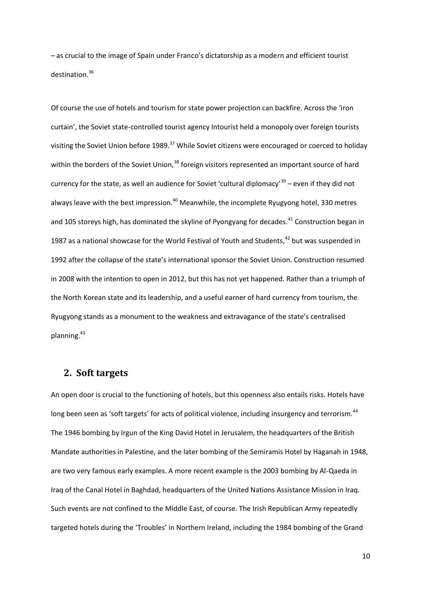– as crucial to the image of Spain under Franco's dictatorship as a modern and efficient tourist destination.<sup>36</sup>

Of course the use of hotels and tourism for state power projection can backfire. Across the 'iron curtain', the Soviet state-controlled tourist agency Intourist held a monopoly over foreign tourists visiting the Soviet Union before 1989.<sup>37</sup> While Soviet citizens were encouraged or coerced to holiday within the borders of the Soviet Union,<sup>38</sup> foreign visitors represented an important source of hard currency for the state, as well an audience for Soviet 'cultural diplomacy'<sup>39</sup> – even if they did not always leave with the best impression. $40$  Meanwhile, the incomplete Ryugyong hotel, 330 metres and 105 storeys high, has dominated the skyline of Pyongyang for decades.<sup>41</sup> Construction began in 1987 as a national showcase for the World Festival of Youth and Students, $42$  but was suspended in 1992 after the collapse of the state's international sponsor the Soviet Union. Construction resumed in 2008 with the intention to open in 2012, but this has not yet happened. Rather than a triumph of the North Korean state and its leadership, and a useful earner of hard currency from tourism, the Ryugyong stands as a monument to the weakness and extravagance of the state's centralised planning.<sup>43</sup>

#### **2. Soft targets**

An open door is crucial to the functioning of hotels, but this openness also entails risks. Hotels have long been seen as 'soft targets' for acts of political violence, including insurgency and terrorism.<sup>44</sup> The 1946 bombing by Irgun of the King David Hotel in Jerusalem, the headquarters of the British Mandate authorities in Palestine, and the later bombing of the Semiramis Hotel by Haganah in 1948, are two very famous early examples. A more recent example is the 2003 bombing by Al-Qaeda in Iraq of the Canal Hotel in Baghdad, headquarters of the United Nations Assistance Mission in Iraq. Such events are not confined to the Middle East, of course. The Irish Republican Army repeatedly targeted hotels during the 'Troubles' in Northern Ireland, including the 1984 bombing of the Grand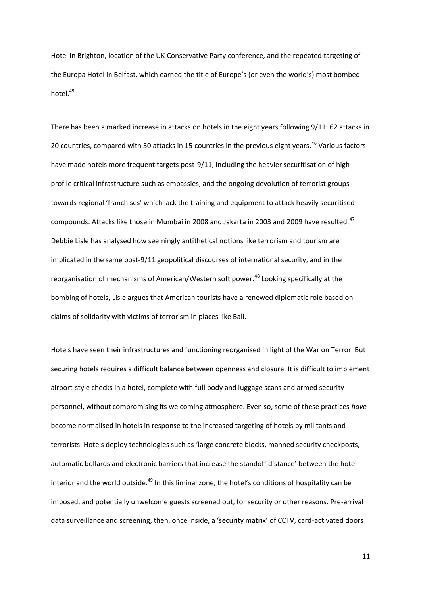Hotel in Brighton, location of the UK Conservative Party conference, and the repeated targeting of the Europa Hotel in Belfast, which earned the title of Europe's (or even the world's) most bombed hotel.<sup>45</sup>

There has been a marked increase in attacks on hotels in the eight years following 9/11: 62 attacks in 20 countries, compared with 30 attacks in 15 countries in the previous eight years.<sup>46</sup> Various factors have made hotels more frequent targets post-9/11, including the heavier securitisation of highprofile critical infrastructure such as embassies, and the ongoing devolution of terrorist groups towards regional 'franchises' which lack the training and equipment to attack heavily securitised compounds. Attacks like those in Mumbai in 2008 and Jakarta in 2003 and 2009 have resulted.<sup>47</sup> Debbie Lisle has analysed how seemingly antithetical notions like terrorism and tourism are implicated in the same post-9/11 geopolitical discourses of international security, and in the reorganisation of mechanisms of American/Western soft power.<sup>48</sup> Looking specifically at the bombing of hotels, Lisle argues that American tourists have a renewed diplomatic role based on claims of solidarity with victims of terrorism in places like Bali.

Hotels have seen their infrastructures and functioning reorganised in light of the War on Terror. But securing hotels requires a difficult balance between openness and closure. It is difficult to implement airport-style checks in a hotel, complete with full body and luggage scans and armed security personnel, without compromising its welcoming atmosphere. Even so, some of these practices *have*  become normalised in hotels in response to the increased targeting of hotels by militants and terrorists. Hotels deploy technologies such as 'large concrete blocks, manned security checkposts, automatic bollards and electronic barriers that increase the standoff distance' between the hotel interior and the world outside.<sup>49</sup> In this liminal zone, the hotel's conditions of hospitality can be imposed, and potentially unwelcome guests screened out, for security or other reasons. Pre-arrival data surveillance and screening, then, once inside, a 'security matrix' of CCTV, card-activated doors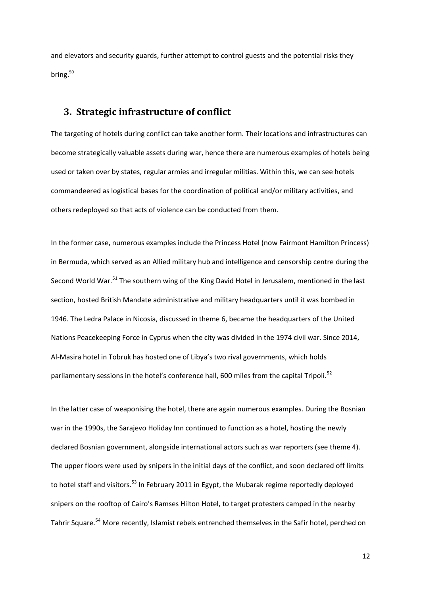and elevators and security guards, further attempt to control guests and the potential risks they bring. $50$ 

#### **3. Strategic infrastructure of conflict**

The targeting of hotels during conflict can take another form. Their locations and infrastructures can become strategically valuable assets during war, hence there are numerous examples of hotels being used or taken over by states, regular armies and irregular militias. Within this, we can see hotels commandeered as logistical bases for the coordination of political and/or military activities, and others redeployed so that acts of violence can be conducted from them.

In the former case, numerous examples include the Princess Hotel (now Fairmont Hamilton Princess) in Bermuda, which served as an Allied military hub and intelligence and censorship centre during the Second World War.<sup>51</sup> The southern wing of the King David Hotel in Jerusalem, mentioned in the last section, hosted British Mandate administrative and military headquarters until it was bombed in 1946. The Ledra Palace in Nicosia, discussed in theme 6, became the headquarters of the United Nations Peacekeeping Force in Cyprus when the city was divided in the 1974 civil war. Since 2014, Al-Masira hotel in Tobruk has hosted one of Libya's two rival governments, which holds parliamentary sessions in the hotel's conference hall, 600 miles from the capital Tripoli.<sup>52</sup>

In the latter case of weaponising the hotel, there are again numerous examples. During the Bosnian war in the 1990s, the Sarajevo Holiday Inn continued to function as a hotel, hosting the newly declared Bosnian government, alongside international actors such as war reporters (see theme 4). The upper floors were used by snipers in the initial days of the conflict, and soon declared off limits to hotel staff and visitors.<sup>53</sup> In February 2011 in Egypt, the Mubarak regime reportedly deployed snipers on the rooftop of Cairo's Ramses Hilton Hotel, to target protesters camped in the nearby Tahrir Square.<sup>54</sup> More recently, Islamist rebels entrenched themselves in the Safir hotel, perched on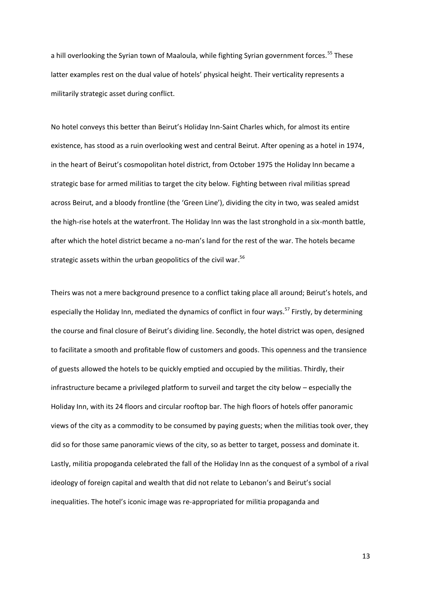a hill overlooking the Syrian town of Maaloula, while fighting Syrian government forces.<sup>55</sup> These latter examples rest on the dual value of hotels' physical height. Their verticality represents a militarily strategic asset during conflict.

No hotel conveys this better than Beirut's Holiday Inn-Saint Charles which, for almost its entire existence, has stood as a ruin overlooking west and central Beirut. After opening as a hotel in 1974, in the heart of Beirut's cosmopolitan hotel district, from October 1975 the Holiday Inn became a strategic base for armed militias to target the city below. Fighting between rival militias spread across Beirut, and a bloody frontline (the 'Green Line'), dividing the city in two, was sealed amidst the high-rise hotels at the waterfront. The Holiday Inn was the last stronghold in a six-month battle, after which the hotel district became a no-man's land for the rest of the war. The hotels became strategic assets within the urban geopolitics of the civil war.<sup>56</sup>

Theirs was not a mere background presence to a conflict taking place all around; Beirut's hotels, and especially the Holiday Inn, mediated the dynamics of conflict in four ways.<sup>57</sup> Firstly, by determining the course and final closure of Beirut's dividing line. Secondly, the hotel district was open, designed to facilitate a smooth and profitable flow of customers and goods. This openness and the transience of guests allowed the hotels to be quickly emptied and occupied by the militias. Thirdly, their infrastructure became a privileged platform to surveil and target the city below – especially the Holiday Inn, with its 24 floors and circular rooftop bar. The high floors of hotels offer panoramic views of the city as a commodity to be consumed by paying guests; when the militias took over, they did so for those same panoramic views of the city, so as better to target, possess and dominate it. Lastly, militia propoganda celebrated the fall of the Holiday Inn as the conquest of a symbol of a rival ideology of foreign capital and wealth that did not relate to Lebanon's and Beirut's social inequalities. The hotel's iconic image was re-appropriated for militia propaganda and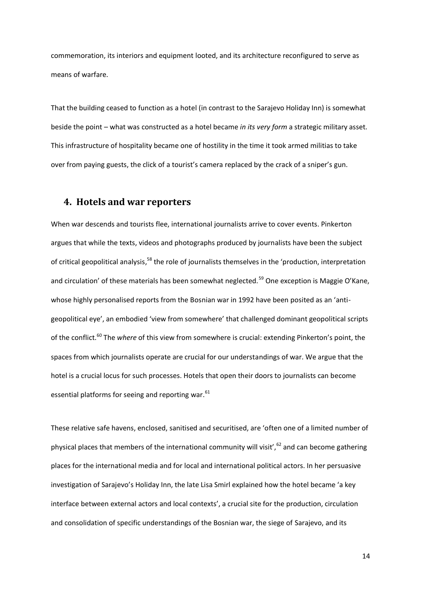commemoration, its interiors and equipment looted, and its architecture reconfigured to serve as means of warfare.

That the building ceased to function as a hotel (in contrast to the Sarajevo Holiday Inn) is somewhat beside the point – what was constructed as a hotel became *in its very form* a strategic military asset. This infrastructure of hospitality became one of hostility in the time it took armed militias to take over from paying guests, the click of a tourist's camera replaced by the crack of a sniper's gun.

#### **4. Hotels and war reporters**

When war descends and tourists flee, international journalists arrive to cover events. Pinkerton argues that while the texts, videos and photographs produced by journalists have been the subject of critical geopolitical analysis,<sup>58</sup> the role of journalists themselves in the 'production, interpretation and circulation' of these materials has been somewhat neglected.<sup>59</sup> One exception is Maggie O'Kane, whose highly personalised reports from the Bosnian war in 1992 have been posited as an 'antigeopolitical eye', an embodied 'view from somewhere' that challenged dominant geopolitical scripts of the conflict.<sup>60</sup> The *where* of this view from somewhere is crucial: extending Pinkerton's point, the spaces from which journalists operate are crucial for our understandings of war. We argue that the hotel is a crucial locus for such processes. Hotels that open their doors to journalists can become essential platforms for seeing and reporting war.<sup>61</sup>

These relative safe havens, enclosed, sanitised and securitised, are 'often one of a limited number of physical places that members of the international community will visit',  $62$  and can become gathering places for the international media and for local and international political actors. In her persuasive investigation of Sarajevo's Holiday Inn, the late Lisa Smirl explained how the hotel became 'a key interface between external actors and local contexts', a crucial site for the production, circulation and consolidation of specific understandings of the Bosnian war, the siege of Sarajevo, and its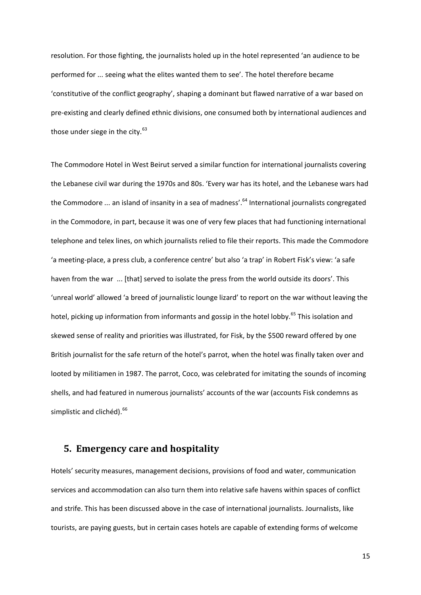resolution. For those fighting, the journalists holed up in the hotel represented 'an audience to be performed for ... seeing what the elites wanted them to see'. The hotel therefore became 'constitutive of the conflict geography', shaping a dominant but flawed narrative of a war based on pre-existing and clearly defined ethnic divisions, one consumed both by international audiences and those under siege in the city. $63$ 

The Commodore Hotel in West Beirut served a similar function for international journalists covering the Lebanese civil war during the 1970s and 80s. 'Every war has its hotel, and the Lebanese wars had the Commodore ... an island of insanity in a sea of madness'.<sup>64</sup> International journalists congregated in the Commodore, in part, because it was one of very few places that had functioning international telephone and telex lines, on which journalists relied to file their reports. This made the Commodore 'a meeting-place, a press club, a conference centre' but also 'a trap' in Robert Fisk's view: 'a safe haven from the war ... [that] served to isolate the press from the world outside its doors'. This 'unreal world' allowed 'a breed of journalistic lounge lizard' to report on the war without leaving the hotel, picking up information from informants and gossip in the hotel lobby.<sup>65</sup> This isolation and skewed sense of reality and priorities was illustrated, for Fisk, by the \$500 reward offered by one British journalist for the safe return of the hotel's parrot, when the hotel was finally taken over and looted by militiamen in 1987. The parrot, Coco, was celebrated for imitating the sounds of incoming shells, and had featured in numerous journalists' accounts of the war (accounts Fisk condemns as simplistic and clichéd).<sup>66</sup>

#### **5. Emergency care and hospitality**

Hotels' security measures, management decisions, provisions of food and water, communication services and accommodation can also turn them into relative safe havens within spaces of conflict and strife. This has been discussed above in the case of international journalists. Journalists, like tourists, are paying guests, but in certain cases hotels are capable of extending forms of welcome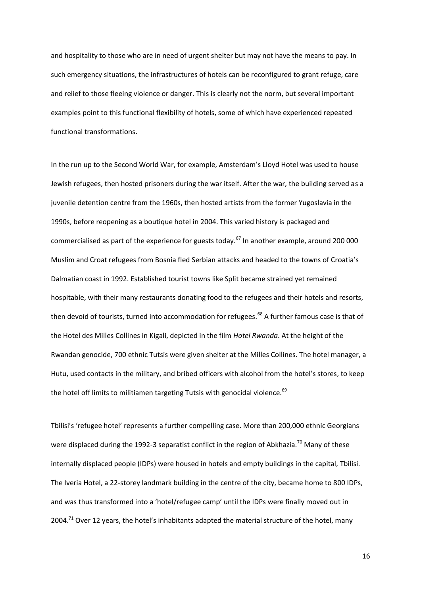and hospitality to those who are in need of urgent shelter but may not have the means to pay. In such emergency situations, the infrastructures of hotels can be reconfigured to grant refuge, care and relief to those fleeing violence or danger. This is clearly not the norm, but several important examples point to this functional flexibility of hotels, some of which have experienced repeated functional transformations.

In the run up to the Second World War, for example, Amsterdam's Lloyd Hotel was used to house Jewish refugees, then hosted prisoners during the war itself. After the war, the building served as a juvenile detention centre from the 1960s, then hosted artists from the former Yugoslavia in the 1990s, before reopening as a boutique hotel in 2004. This varied history is packaged and commercialised as part of the experience for guests today.<sup>67</sup> In another example, around 200 000 Muslim and Croat refugees from Bosnia fled Serbian attacks and headed to the towns of Croatia's Dalmatian coast in 1992. Established tourist towns like Split became strained yet remained hospitable, with their many restaurants donating food to the refugees and their hotels and resorts, then devoid of tourists, turned into accommodation for refugees.<sup>68</sup> A further famous case is that of the Hotel des Milles Collines in Kigali, depicted in the film *Hotel Rwanda*. At the height of the Rwandan genocide, 700 ethnic Tutsis were given shelter at the Milles Collines. The hotel manager, a Hutu, used contacts in the military, and bribed officers with alcohol from the hotel's stores, to keep the hotel off limits to militiamen targeting Tutsis with genocidal violence.<sup>69</sup>

Tbilisi's 'refugee hotel' represents a further compelling case. More than 200,000 ethnic Georgians were displaced during the 1992-3 separatist conflict in the region of Abkhazia.<sup>70</sup> Many of these internally displaced people (IDPs) were housed in hotels and empty buildings in the capital, Tbilisi. The Iveria Hotel, a 22-storey landmark building in the centre of the city, became home to 800 IDPs, and was thus transformed into a 'hotel/refugee camp' until the IDPs were finally moved out in 2004.<sup>71</sup> Over 12 years, the hotel's inhabitants adapted the material structure of the hotel, many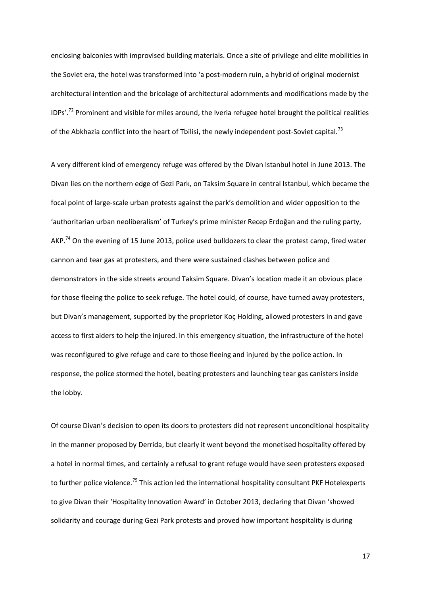enclosing balconies with improvised building materials. Once a site of privilege and elite mobilities in the Soviet era, the hotel was transformed into 'a post-modern ruin, a hybrid of original modernist architectural intention and the bricolage of architectural adornments and modifications made by the  $\text{IDPs}'^{72}$  Prominent and visible for miles around, the Iveria refugee hotel brought the political realities of the Abkhazia conflict into the heart of Tbilisi, the newly independent post-Soviet capital.<sup>73</sup>

A very different kind of emergency refuge was offered by the Divan Istanbul hotel in June 2013. The Divan lies on the northern edge of Gezi Park, on Taksim Square in central Istanbul, which became the focal point of large-scale urban protests against the park's demolition and wider opposition to the 'authoritarian urban neoliberalism' of Turkey's prime minister Recep Erdoğan and the ruling party, AKP.<sup>74</sup> On the evening of 15 June 2013, police used bulldozers to clear the protest camp, fired water cannon and tear gas at protesters, and there were sustained clashes between police and demonstrators in the side streets around Taksim Square. Divan's location made it an obvious place for those fleeing the police to seek refuge. The hotel could, of course, have turned away protesters, but Divan's management, supported by the proprietor Koç Holding, allowed protesters in and gave access to first aiders to help the injured. In this emergency situation, the infrastructure of the hotel was reconfigured to give refuge and care to those fleeing and injured by the police action. In response, the police stormed the hotel, beating protesters and launching tear gas canisters inside the lobby.

Of course Divan's decision to open its doors to protesters did not represent unconditional hospitality in the manner proposed by Derrida, but clearly it went beyond the monetised hospitality offered by a hotel in normal times, and certainly a refusal to grant refuge would have seen protesters exposed to further police violence.<sup>75</sup> This action led the international hospitality consultant PKF Hotelexperts to give Divan their 'Hospitality Innovation Award' in October 2013, declaring that Divan 'showed solidarity and courage during Gezi Park protests and proved how important hospitality is during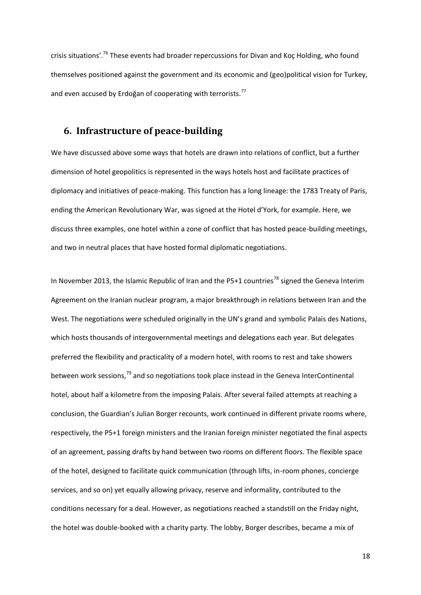crisis situations'.<sup>76</sup> These events had broader repercussions for Divan and Koç Holding, who found themselves positioned against the government and its economic and (geo)political vision for Turkey, and even accused by Erdoğan of cooperating with terrorists.<sup>77</sup>

#### **6. Infrastructure of peace-building**

We have discussed above some ways that hotels are drawn into relations of conflict, but a further dimension of hotel geopolitics is represented in the ways hotels host and facilitate practices of diplomacy and initiatives of peace-making. This function has a long lineage: the 1783 Treaty of Paris, ending the American Revolutionary War, was signed at the Hotel d'York, for example. Here, we discuss three examples, one hotel within a zone of conflict that has hosted peace-building meetings, and two in neutral places that have hosted formal diplomatic negotiations.

In November 2013, the Islamic Republic of Iran and the P5+1 countries<sup>78</sup> signed the Geneva Interim Agreement on the Iranian nuclear program, a major breakthrough in relations between Iran and the West. The negotiations were scheduled originally in the UN's grand and symbolic Palais des Nations, which hosts thousands of intergovernmental meetings and delegations each year. But delegates preferred the flexibility and practicality of a modern hotel, with rooms to rest and take showers between work sessions,<sup>79</sup> and so negotiations took place instead in the Geneva InterContinental hotel, about half a kilometre from the imposing Palais. After several failed attempts at reaching a conclusion, the Guardian's Julian Borger recounts, work continued in different private rooms where, respectively, the P5+1 foreign ministers and the Iranian foreign minister negotiated the final aspects of an agreement, passing drafts by hand between two rooms on different floors. The flexible space of the hotel, designed to facilitate quick communication (through lifts, in-room phones, concierge services, and so on) yet equally allowing privacy, reserve and informality, contributed to the conditions necessary for a deal. However, as negotiations reached a standstill on the Friday night, the hotel was double-booked with a charity party. The lobby, Borger describes, became a mix of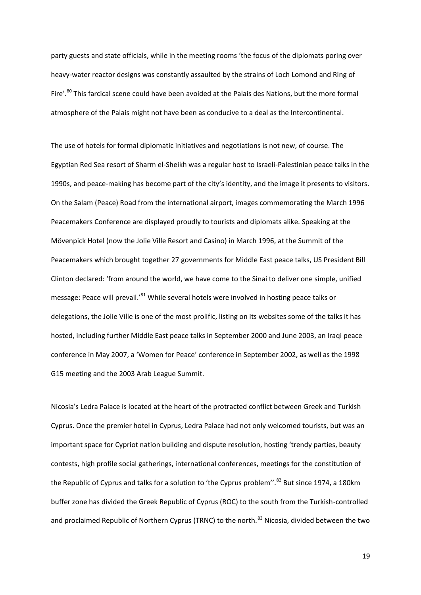party guests and state officials, while in the meeting rooms 'the focus of the diplomats poring over heavy-water reactor designs was constantly assaulted by the strains of Loch Lomond and Ring of Fire'.<sup>80</sup> This farcical scene could have been avoided at the Palais des Nations, but the more formal atmosphere of the Palais might not have been as conducive to a deal as the Intercontinental.

The use of hotels for formal diplomatic initiatives and negotiations is not new, of course. The Egyptian Red Sea resort of Sharm el-Sheikh was a regular host to Israeli-Palestinian peace talks in the 1990s, and peace-making has become part of the city's identity, and the image it presents to visitors. On the Salam (Peace) Road from the international airport, images commemorating the March 1996 Peacemakers Conference are displayed proudly to tourists and diplomats alike. Speaking at the Mövenpick Hotel (now the Jolie Ville Resort and Casino) in March 1996, at the Summit of the Peacemakers which brought together 27 governments for Middle East peace talks, US President Bill Clinton declared: 'from around the world, we have come to the Sinai to deliver one simple, unified message: Peace will prevail.'<sup>81</sup> While several hotels were involved in hosting peace talks or delegations, the Jolie Ville is one of the most prolific, listing on its websites some of the talks it has hosted, including further Middle East peace talks in September 2000 and June 2003, an Iraqi peace conference in May 2007, a 'Women for Peace' conference in September 2002, as well as the 1998 G15 meeting and the 2003 Arab League Summit.

Nicosia's Ledra Palace is located at the heart of the protracted conflict between Greek and Turkish Cyprus. Once the premier hotel in Cyprus, Ledra Palace had not only welcomed tourists, but was an important space for Cypriot nation building and dispute resolution, hosting 'trendy parties, beauty contests, high profile social gatherings, international conferences, meetings for the constitution of the Republic of Cyprus and talks for a solution to 'the Cyprus problem''.<sup>82</sup> But since 1974, a 180km buffer zone has divided the Greek Republic of Cyprus (ROC) to the south from the Turkish-controlled and proclaimed Republic of Northern Cyprus (TRNC) to the north.<sup>83</sup> Nicosia, divided between the two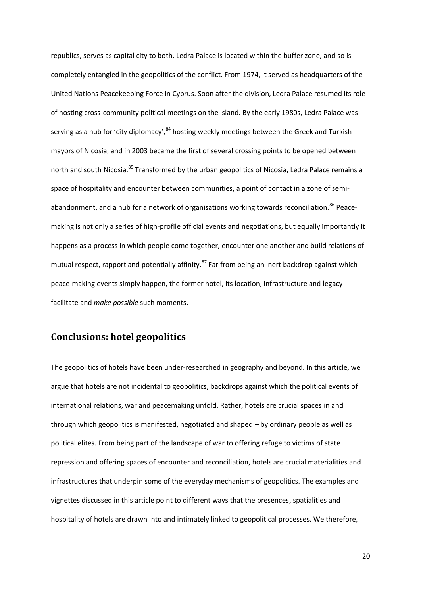republics, serves as capital city to both. Ledra Palace is located within the buffer zone, and so is completely entangled in the geopolitics of the conflict. From 1974, it served as headquarters of the United Nations Peacekeeping Force in Cyprus. Soon after the division, Ledra Palace resumed its role of hosting cross-community political meetings on the island. By the early 1980s, Ledra Palace was serving as a hub for 'city diplomacy',<sup>84</sup> hosting weekly meetings between the Greek and Turkish mayors of Nicosia, and in 2003 became the first of several crossing points to be opened between north and south Nicosia.<sup>85</sup> Transformed by the urban geopolitics of Nicosia, Ledra Palace remains a space of hospitality and encounter between communities, a point of contact in a zone of semiabandonment, and a hub for a network of organisations working towards reconciliation.<sup>86</sup> Peacemaking is not only a series of high-profile official events and negotiations, but equally importantly it happens as a process in which people come together, encounter one another and build relations of mutual respect, rapport and potentially affinity.<sup>87</sup> Far from being an inert backdrop against which peace-making events simply happen, the former hotel, its location, infrastructure and legacy facilitate and *make possible* such moments.

#### **Conclusions: hotel geopolitics**

The geopolitics of hotels have been under-researched in geography and beyond. In this article, we argue that hotels are not incidental to geopolitics, backdrops against which the political events of international relations, war and peacemaking unfold. Rather, hotels are crucial spaces in and through which geopolitics is manifested, negotiated and shaped – by ordinary people as well as political elites. From being part of the landscape of war to offering refuge to victims of state repression and offering spaces of encounter and reconciliation, hotels are crucial materialities and infrastructures that underpin some of the everyday mechanisms of geopolitics. The examples and vignettes discussed in this article point to different ways that the presences, spatialities and hospitality of hotels are drawn into and intimately linked to geopolitical processes. We therefore,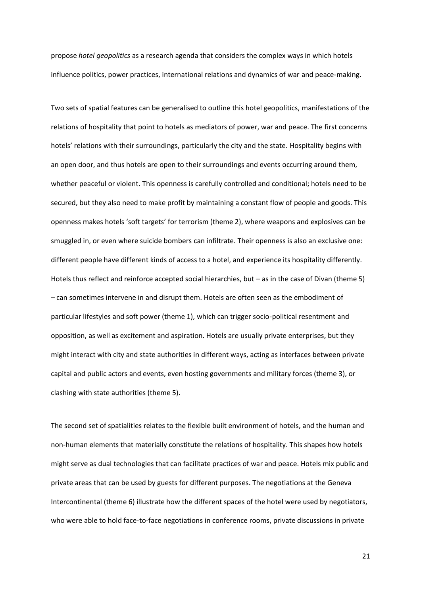propose *hotel geopolitics* as a research agenda that considers the complex ways in which hotels influence politics, power practices, international relations and dynamics of war and peace-making.

Two sets of spatial features can be generalised to outline this hotel geopolitics, manifestations of the relations of hospitality that point to hotels as mediators of power, war and peace. The first concerns hotels' relations with their surroundings, particularly the city and the state. Hospitality begins with an open door, and thus hotels are open to their surroundings and events occurring around them, whether peaceful or violent. This openness is carefully controlled and conditional; hotels need to be secured, but they also need to make profit by maintaining a constant flow of people and goods. This openness makes hotels 'soft targets' for terrorism (theme 2), where weapons and explosives can be smuggled in, or even where suicide bombers can infiltrate. Their openness is also an exclusive one: different people have different kinds of access to a hotel, and experience its hospitality differently. Hotels thus reflect and reinforce accepted social hierarchies, but – as in the case of Divan (theme 5) – can sometimes intervene in and disrupt them. Hotels are often seen as the embodiment of particular lifestyles and soft power (theme 1), which can trigger socio-political resentment and opposition, as well as excitement and aspiration. Hotels are usually private enterprises, but they might interact with city and state authorities in different ways, acting as interfaces between private capital and public actors and events, even hosting governments and military forces (theme 3), or clashing with state authorities (theme 5).

The second set of spatialities relates to the flexible built environment of hotels, and the human and non-human elements that materially constitute the relations of hospitality. This shapes how hotels might serve as dual technologies that can facilitate practices of war and peace. Hotels mix public and private areas that can be used by guests for different purposes. The negotiations at the Geneva Intercontinental (theme 6) illustrate how the different spaces of the hotel were used by negotiators, who were able to hold face-to-face negotiations in conference rooms, private discussions in private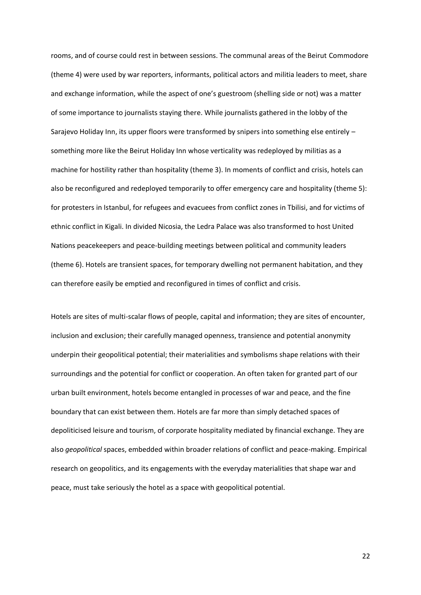rooms, and of course could rest in between sessions. The communal areas of the Beirut Commodore (theme 4) were used by war reporters, informants, political actors and militia leaders to meet, share and exchange information, while the aspect of one's guestroom (shelling side or not) was a matter of some importance to journalists staying there. While journalists gathered in the lobby of the Sarajevo Holiday Inn, its upper floors were transformed by snipers into something else entirely – something more like the Beirut Holiday Inn whose verticality was redeployed by militias as a machine for hostility rather than hospitality (theme 3). In moments of conflict and crisis, hotels can also be reconfigured and redeployed temporarily to offer emergency care and hospitality (theme 5): for protesters in Istanbul, for refugees and evacuees from conflict zones in Tbilisi, and for victims of ethnic conflict in Kigali. In divided Nicosia, the Ledra Palace was also transformed to host United Nations peacekeepers and peace-building meetings between political and community leaders (theme 6). Hotels are transient spaces, for temporary dwelling not permanent habitation, and they can therefore easily be emptied and reconfigured in times of conflict and crisis.

Hotels are sites of multi-scalar flows of people, capital and information; they are sites of encounter, inclusion and exclusion; their carefully managed openness, transience and potential anonymity underpin their geopolitical potential; their materialities and symbolisms shape relations with their surroundings and the potential for conflict or cooperation. An often taken for granted part of our urban built environment, hotels become entangled in processes of war and peace, and the fine boundary that can exist between them. Hotels are far more than simply detached spaces of depoliticised leisure and tourism, of corporate hospitality mediated by financial exchange. They are also *geopolitical* spaces, embedded within broader relations of conflict and peace-making. Empirical research on geopolitics, and its engagements with the everyday materialities that shape war and peace, must take seriously the hotel as a space with geopolitical potential.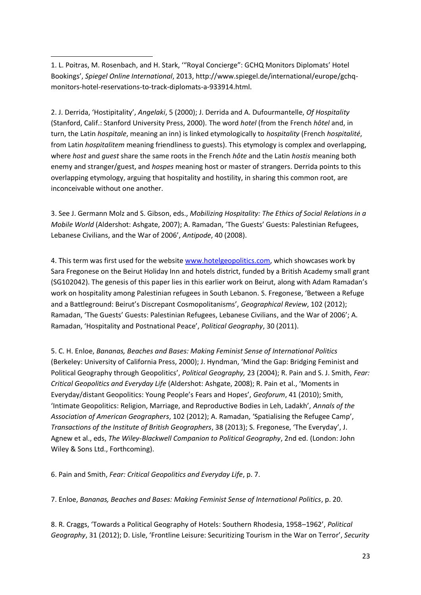1 1. L. Poitras, M. Rosenbach, and H. Stark, '"Royal Concierge": GCHQ Monitors Diplomats' Hotel Bookings', *Spiegel Online International*, 2013, http://www.spiegel.de/international/europe/gchqmonitors-hotel-reservations-to-track-diplomats-a-933914.html.

2. J. Derrida, 'Hostipitality', *Angelaki*, 5 (2000); J. Derrida and A. Dufourmantelle, *Of Hospitality* (Stanford, Calif.: Stanford University Press, 2000). The word *hotel* (from the French *hôtel* and, in turn, the Latin *hospitale*, meaning an inn) is linked etymologically to *hospitality* (French *hospitalité*, from Latin *hospitalitem* meaning friendliness to guests). This etymology is complex and overlapping, where *host* and *guest* share the same roots in the French *hôte* and the Latin *hostis* meaning both enemy and stranger/guest, and *hospes* meaning host or master of strangers. Derrida points to this overlapping etymology, arguing that hospitality and hostility, in sharing this common root, are inconceivable without one another.

3. See J. Germann Molz and S. Gibson, eds., *Mobilizing Hospitality: The Ethics of Social Relations in a Mobile World* (Aldershot: Ashgate, 2007); A. Ramadan, 'The Guests' Guests: Palestinian Refugees, Lebanese Civilians, and the War of 2006', *Antipode*, 40 (2008).

4. This term was first used for the website [www.hotelgeopolitics.com,](http://www.hotelgeopolitics.com/) which showcases work by Sara Fregonese on the Beirut Holiday Inn and hotels district, funded by a British Academy small grant (SG102042). The genesis of this paper lies in this earlier work on Beirut, along with Adam Ramadan's work on hospitality among Palestinian refugees in South Lebanon. S. Fregonese, 'Between a Refuge and a Battleground: Beirut's Discrepant Cosmopolitanisms', *Geographical Review*, 102 (2012); Ramadan, 'The Guests' Guests: Palestinian Refugees, Lebanese Civilians, and the War of 2006'; A. Ramadan, 'Hospitality and Postnational Peace', *Political Geography*, 30 (2011).

5. C. H. Enloe, *Bananas, Beaches and Bases: Making Feminist Sense of International Politics* (Berkeley: University of California Press, 2000); J. Hyndman, 'Mind the Gap: Bridging Feminist and Political Geography through Geopolitics', *Political Geography,* 23 (2004); R. Pain and S. J. Smith, *Fear: Critical Geopolitics and Everyday Life* (Aldershot: Ashgate, 2008); R. Pain et al., 'Moments in Everyday/distant Geopolitics: Young People's Fears and Hopes', *Geoforum*, 41 (2010); Smith, 'Intimate Geopolitics: Religion, Marriage, and Reproductive Bodies in Leh, Ladakh', *Annals of the Association of American Geographers*, 102 (2012); A. Ramadan, 'Spatialising the Refugee Camp', *Transactions of the Institute of British Geographers*, 38 (2013); S. Fregonese, 'The Everyday', J. Agnew et al., eds, *The Wiley-Blackwell Companion to Political Geography*, 2nd ed. (London: John Wiley & Sons Ltd., Forthcoming).

6. Pain and Smith, *Fear: Critical Geopolitics and Everyday Life*, p. 7.

7. Enloe, *Bananas, Beaches and Bases: Making Feminist Sense of International Politics*, p. 20.

8. R. Craggs, 'Towards a Political Geography of Hotels: Southern Rhodesia, 1958–1962', *Political Geography*, 31 (2012); D. Lisle, 'Frontline Leisure: Securitizing Tourism in the War on Terror', *Security*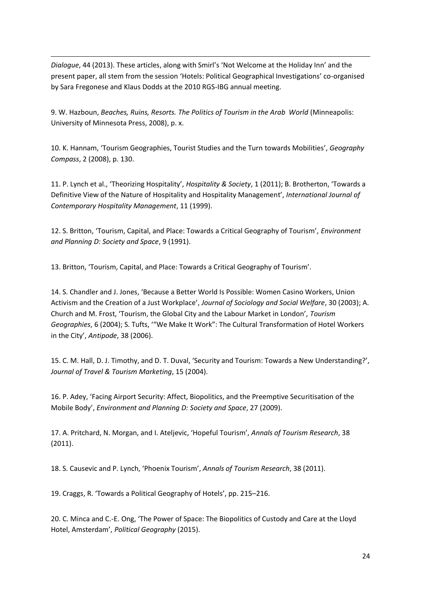1 *Dialogue*, 44 (2013). These articles, along with Smirl's 'Not Welcome at the Holiday Inn' and the present paper, all stem from the session 'Hotels: Political Geographical Investigations' co-organised by Sara Fregonese and Klaus Dodds at the 2010 RGS-IBG annual meeting.

9. W. Hazboun, *Beaches, Ruins, Resorts. The Politics of Tourism in the Arab World* (Minneapolis: University of Minnesota Press, 2008), p. x.

10. K. Hannam, 'Tourism Geographies, Tourist Studies and the Turn towards Mobilities', *Geography Compass*, 2 (2008), p. 130.

11. P. Lynch et al., 'Theorizing Hospitality', *Hospitality & Society*, 1 (2011); B. Brotherton, 'Towards a Definitive View of the Nature of Hospitality and Hospitality Management', *International Journal of Contemporary Hospitality Management*, 11 (1999).

12. S. Britton, 'Tourism, Capital, and Place: Towards a Critical Geography of Tourism', *Environment and Planning D: Society and Space*, 9 (1991).

13. Britton, 'Tourism, Capital, and Place: Towards a Critical Geography of Tourism'.

14. S. Chandler and J. Jones, 'Because a Better World Is Possible: Women Casino Workers, Union Activism and the Creation of a Just Workplace', *Journal of Sociology and Social Welfare*, 30 (2003); A. Church and M. Frost, 'Tourism, the Global City and the Labour Market in London', *Tourism Geographies*, 6 (2004); S. Tufts, '"We Make It Work": The Cultural Transformation of Hotel Workers in the City', *Antipode*, 38 (2006).

15. C. M. Hall, D. J. Timothy, and D. T. Duval, 'Security and Tourism: Towards a New Understanding?', *Journal of Travel & Tourism Marketing*, 15 (2004).

16. P. Adey, 'Facing Airport Security: Affect, Biopolitics, and the Preemptive Securitisation of the Mobile Body', *Environment and Planning D: Society and Space*, 27 (2009).

17. A. Pritchard, N. Morgan, and I. Ateljevic, 'Hopeful Tourism', *Annals of Tourism Research*, 38 (2011).

18. S. Causevic and P. Lynch, 'Phoenix Tourism', *Annals of Tourism Research*, 38 (2011).

19. Craggs, R. 'Towards a Political Geography of Hotels', pp. 215–216.

20. C. Minca and C.-E. Ong, 'The Power of Space: The Biopolitics of Custody and Care at the Lloyd Hotel, Amsterdam', *Political Geography* (2015).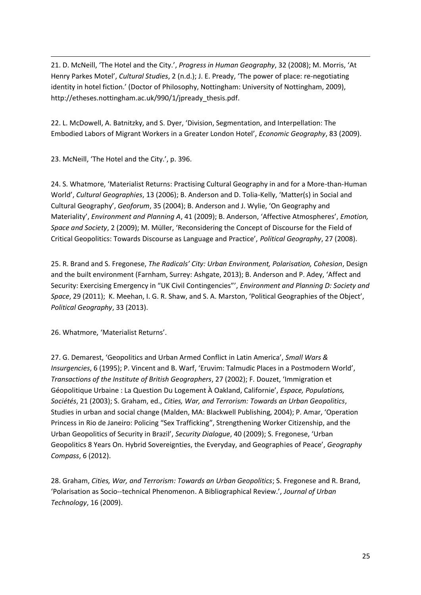1 21. D. McNeill, 'The Hotel and the City.', *Progress in Human Geography*, 32 (2008); M. Morris, 'At Henry Parkes Motel', *Cultural Studies*, 2 (n.d.); J. E. Pready, 'The power of place: re-negotiating identity in hotel fiction.' (Doctor of Philosophy, Nottingham: University of Nottingham, 2009), http://etheses.nottingham.ac.uk/990/1/jpready\_thesis.pdf.

22. L. McDowell, A. Batnitzky, and S. Dyer, 'Division, Segmentation, and Interpellation: The Embodied Labors of Migrant Workers in a Greater London Hotel', *Economic Geography*, 83 (2009).

23. McNeill, 'The Hotel and the City.', p. 396.

24. S. Whatmore, 'Materialist Returns: Practising Cultural Geography in and for a More-than-Human World', *Cultural Geographies*, 13 (2006); B. Anderson and D. Tolia-Kelly, 'Matter(s) in Social and Cultural Geography', *Geoforum*, 35 (2004); B. Anderson and J. Wylie, 'On Geography and Materiality', *Environment and Planning A*, 41 (2009); B. Anderson, 'Affective Atmospheres', *Emotion, Space and Society*, 2 (2009); M. Müller, 'Reconsidering the Concept of Discourse for the Field of Critical Geopolitics: Towards Discourse as Language and Practice', *Political Geography*, 27 (2008).

25. R. Brand and S. Fregonese, *The Radicals' City: Urban Environment, Polarisation, Cohesion*, Design and the built environment (Farnham, Surrey: Ashgate, 2013); B. Anderson and P. Adey, 'Affect and Security: Exercising Emergency in "UK Civil Contingencies"', *Environment and Planning D: Society and Space*, 29 (2011); K. Meehan, I. G. R. Shaw, and S. A. Marston, 'Political Geographies of the Object', *Political Geography*, 33 (2013).

26. Whatmore, 'Materialist Returns'.

27. G. Demarest, 'Geopolitics and Urban Armed Conflict in Latin America', *Small Wars & Insurgencies*, 6 (1995); P. Vincent and B. Warf, 'Eruvim: Talmudic Places in a Postmodern World', *Transactions of the Institute of British Geographers*, 27 (2002); F. Douzet, 'Immigration et Géopolitique Urbaine : La Question Du Logement À Oakland, Californie', *Espace, Populations, Sociétés*, 21 (2003); S. Graham, ed., *Cities, War, and Terrorism: Towards an Urban Geopolitics*, Studies in urban and social change (Malden, MA: Blackwell Publishing, 2004); P. Amar, 'Operation Princess in Rio de Janeiro: Policing "Sex Trafficking", Strengthening Worker Citizenship, and the Urban Geopolitics of Security in Brazil', *Security Dialogue*, 40 (2009); S. Fregonese, 'Urban Geopolitics 8 Years On. Hybrid Sovereignties, the Everyday, and Geographies of Peace', *Geography Compass*, 6 (2012).

28. Graham, *Cities, War, and Terrorism: Towards an Urban Geopolitics*; S. Fregonese and R. Brand, 'Polarisation as Socio--technical Phenomenon. A Bibliographical Review.', *Journal of Urban Technology*, 16 (2009).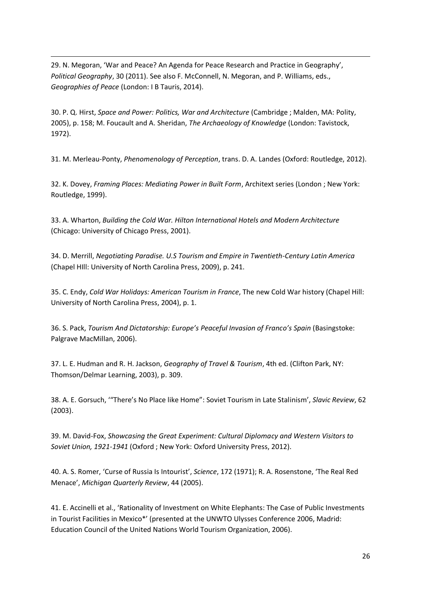1 29. N. Megoran, 'War and Peace? An Agenda for Peace Research and Practice in Geography', *Political Geography*, 30 (2011). See also F. McConnell, N. Megoran, and P. Williams, eds., *Geographies of Peace* (London: I B Tauris, 2014).

30. P. Q. Hirst, *Space and Power: Politics, War and Architecture* (Cambridge ; Malden, MA: Polity, 2005), p. 158; M. Foucault and A. Sheridan, *The Archaeology of Knowledge* (London: Tavistock, 1972).

31. M. Merleau-Ponty, *Phenomenology of Perception*, trans. D. A. Landes (Oxford: Routledge, 2012).

32. K. Dovey, *Framing Places: Mediating Power in Built Form*, Architext series (London ; New York: Routledge, 1999).

33. A. Wharton, *Building the Cold War. Hilton International Hotels and Modern Architecture* (Chicago: University of Chicago Press, 2001).

34. D. Merrill, *Negotiating Paradise. U.S Tourism and Empire in Twentieth-Century Latin America* (Chapel HIll: University of North Carolina Press, 2009), p. 241.

35. C. Endy, *Cold War Holidays: American Tourism in France*, The new Cold War history (Chapel Hill: University of North Carolina Press, 2004), p. 1.

36. S. Pack, *Tourism And Dictatorship: Europe's Peaceful Invasion of Franco's Spain* (Basingstoke: Palgrave MacMillan, 2006).

37. L. E. Hudman and R. H. Jackson, *Geography of Travel & Tourism*, 4th ed. (Clifton Park, NY: Thomson/Delmar Learning, 2003), p. 309.

38. A. E. Gorsuch, '"There's No Place like Home": Soviet Tourism in Late Stalinism', *Slavic Review*, 62 (2003).

39. M. David-Fox, *Showcasing the Great Experiment: Cultural Diplomacy and Western Visitors to Soviet Union, 1921-1941* (Oxford ; New York: Oxford University Press, 2012).

40. A. S. Romer, 'Curse of Russia Is Intourist', *Science*, 172 (1971); R. A. Rosenstone, 'The Real Red Menace', *Michigan Quarterly Review*, 44 (2005).

41. E. Accinelli et al., 'Rationality of Investment on White Elephants: The Case of Public Investments in Tourist Facilities in Mexico\*' (presented at the UNWTO Ulysses Conference 2006, Madrid: Education Council of the United Nations World Tourism Organization, 2006).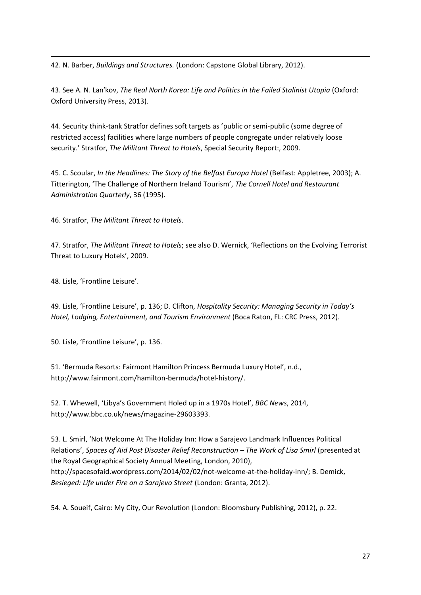42. N. Barber, *Buildings and Structures.* (London: Capstone Global Library, 2012).

43. See A. N. Lanʹkov, *The Real North Korea: Life and Politics in the Failed Stalinist Utopia* (Oxford: Oxford University Press, 2013).

44. Security think-tank Stratfor defines soft targets as 'public or semi-public (some degree of restricted access) facilities where large numbers of people congregate under relatively loose security.' Stratfor, *The Militant Threat to Hotels*, Special Security Report:, 2009.

45. C. Scoular, *In the Headlines: The Story of the Belfast Europa Hotel* (Belfast: Appletree, 2003); A. Titterington, 'The Challenge of Northern Ireland Tourism', *The Cornell Hotel and Restaurant Administration Quarterly*, 36 (1995).

46. Stratfor, *The Militant Threat to Hotels*.

47. Stratfor, *The Militant Threat to Hotels*; see also D. Wernick, 'Reflections on the Evolving Terrorist Threat to Luxury Hotels', 2009.

48. Lisle, 'Frontline Leisure'.

1

49. Lisle, 'Frontline Leisure', p. 136; D. Clifton, *Hospitality Security: Managing Security in Today's Hotel, Lodging, Entertainment, and Tourism Environment* (Boca Raton, FL: CRC Press, 2012).

50. Lisle, 'Frontline Leisure', p. 136.

51. 'Bermuda Resorts: Fairmont Hamilton Princess Bermuda Luxury Hotel', n.d., http://www.fairmont.com/hamilton-bermuda/hotel-history/.

52. T. Whewell, 'Libya's Government Holed up in a 1970s Hotel', *BBC News*, 2014, http://www.bbc.co.uk/news/magazine-29603393.

53. L. Smirl, 'Not Welcome At The Holiday Inn: How a Sarajevo Landmark Influences Political Relations', *Spaces of Aid Post Disaster Relief Reconstruction – The Work of Lisa Smirl* (presented at the Royal Geographical Society Annual Meeting, London, 2010), http://spacesofaid.wordpress.com/2014/02/02/not-welcome-at-the-holiday-inn/; B. Demick, *Besieged: Life under Fire on a Sarajevo Street* (London: Granta, 2012).

54. A. Soueif, Cairo: My City, Our Revolution (London: Bloomsbury Publishing, 2012), p. 22.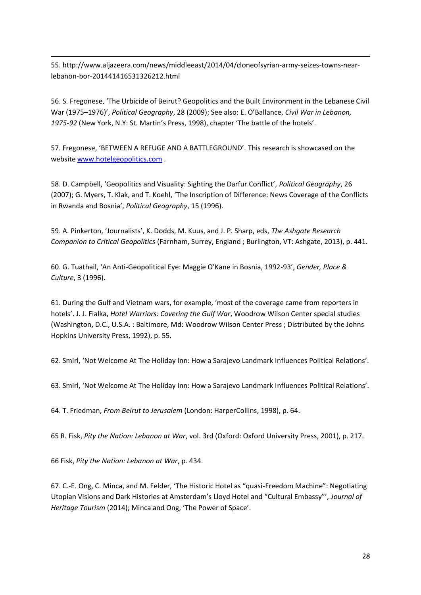1 55. http://www.aljazeera.com/news/middleeast/2014/04/cloneofsyrian-army-seizes-towns-nearlebanon-bor-201441416531326212.html

56. S. Fregonese, 'The Urbicide of Beirut? Geopolitics and the Built Environment in the Lebanese Civil War (1975–1976)', *Political Geography*, 28 (2009); See also: E. O'Ballance, *Civil War in Lebanon, 1975-92* (New York, N.Y: St. Martin's Press, 1998), chapter 'The battle of the hotels'.

57. Fregonese, 'BETWEEN A REFUGE AND A BATTLEGROUND'. This research is showcased on the websit[e www.hotelgeopolitics.com](http://www.hotelgeopolitics.com/) .

58. D. Campbell, 'Geopolitics and Visuality: Sighting the Darfur Conflict', *Political Geography*, 26 (2007); G. Myers, T. Klak, and T. Koehl, 'The Inscription of Difference: News Coverage of the Conflicts in Rwanda and Bosnia', *Political Geography*, 15 (1996).

59. A. Pinkerton, 'Journalists', K. Dodds, M. Kuus, and J. P. Sharp, eds, *The Ashgate Research Companion to Critical Geopolitics* (Farnham, Surrey, England ; Burlington, VT: Ashgate, 2013), p. 441.

60. G. Tuathail, 'An Anti-Geopolitical Eye: Maggie O'Kane in Bosnia, 1992-93', *Gender, Place & Culture*, 3 (1996).

61. During the Gulf and Vietnam wars, for example, 'most of the coverage came from reporters in hotels'. J. J. Fialka, *Hotel Warriors: Covering the Gulf War*, Woodrow Wilson Center special studies (Washington, D.C., U.S.A. : Baltimore, Md: Woodrow Wilson Center Press ; Distributed by the Johns Hopkins University Press, 1992), p. 55.

62. Smirl, 'Not Welcome At The Holiday Inn: How a Sarajevo Landmark Influences Political Relations'.

63. Smirl, 'Not Welcome At The Holiday Inn: How a Sarajevo Landmark Influences Political Relations'.

64. T. Friedman, *From Beirut to Jerusalem* (London: HarperCollins, 1998), p. 64.

65 R. Fisk, *Pity the Nation: Lebanon at War*, vol. 3rd (Oxford: Oxford University Press, 2001), p. 217.

66 Fisk, *Pity the Nation: Lebanon at War*, p. 434.

67. C.-E. Ong, C. Minca, and M. Felder, 'The Historic Hotel as "quasi-Freedom Machine": Negotiating Utopian Visions and Dark Histories at Amsterdam's Lloyd Hotel and "Cultural Embassy"', *Journal of Heritage Tourism* (2014); Minca and Ong, 'The Power of Space'.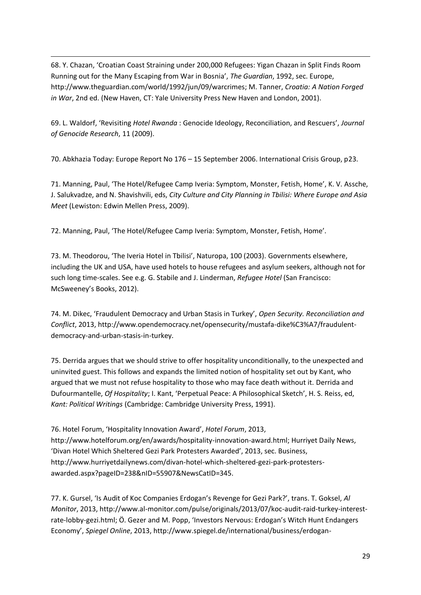1 68. Y. Chazan, 'Croatian Coast Straining under 200,000 Refugees: Yigan Chazan in Split Finds Room Running out for the Many Escaping from War in Bosnia', *The Guardian*, 1992, sec. Europe, http://www.theguardian.com/world/1992/jun/09/warcrimes; M. Tanner, *Croatia: A Nation Forged in War*, 2nd ed. (New Haven, CT: Yale University Press New Haven and London, 2001).

69. L. Waldorf, 'Revisiting *Hotel Rwanda* : Genocide Ideology, Reconciliation, and Rescuers', *Journal of Genocide Research*, 11 (2009).

70. Abkhazia Today: Europe Report No 176 – 15 September 2006. International Crisis Group, p23.

71. Manning, Paul, 'The Hotel/Refugee Camp Iveria: Symptom, Monster, Fetish, Home', K. V. Assche, J. Salukvadze, and N. Shavishvili, eds, *City Culture and City Planning in Tbilisi: Where Europe and Asia Meet* (Lewiston: Edwin Mellen Press, 2009).

72. Manning, Paul, 'The Hotel/Refugee Camp Iveria: Symptom, Monster, Fetish, Home'.

73. M. Theodorou, 'The Iveria Hotel in Tbilisi', Naturopa, 100 (2003). Governments elsewhere, including the UK and USA, have used hotels to house refugees and asylum seekers, although not for such long time-scales. See e.g. G. Stabile and J. Linderman, *Refugee Hotel* (San Francisco: McSweeney's Books, 2012).

74. M. Dikec, 'Fraudulent Democracy and Urban Stasis in Turkey', *Open Security. Reconciliation and Conflict*, 2013, http://www.opendemocracy.net/opensecurity/mustafa-dike%C3%A7/fraudulentdemocracy-and-urban-stasis-in-turkey.

75. Derrida argues that we should strive to offer hospitality unconditionally, to the unexpected and uninvited guest. This follows and expands the limited notion of hospitality set out by Kant, who argued that we must not refuse hospitality to those who may face death without it. Derrida and Dufourmantelle, *Of Hospitality*; I. Kant, 'Perpetual Peace: A Philosophical Sketch', H. S. Reiss, ed, *Kant: Political Writings* (Cambridge: Cambridge University Press, 1991).

76. Hotel Forum, 'Hospitality Innovation Award', *Hotel Forum*, 2013, http://www.hotelforum.org/en/awards/hospitality-innovation-award.html; Hurriyet Daily News, 'Divan Hotel Which Sheltered Gezi Park Protesters Awarded', 2013, sec. Business, http://www.hurriyetdailynews.com/divan-hotel-which-sheltered-gezi-park-protestersawarded.aspx?pageID=238&nID=55907&NewsCatID=345.

77. K. Gursel, 'Is Audit of Koc Companies Erdogan's Revenge for Gezi Park?', trans. T. Goksel, *Al Monitor*, 2013, http://www.al-monitor.com/pulse/originals/2013/07/koc-audit-raid-turkey-interestrate-lobby-gezi.html; Ö. Gezer and M. Popp, 'Investors Nervous: Erdogan's Witch Hunt Endangers Economy', *Spiegel Online*, 2013, http://www.spiegel.de/international/business/erdogan-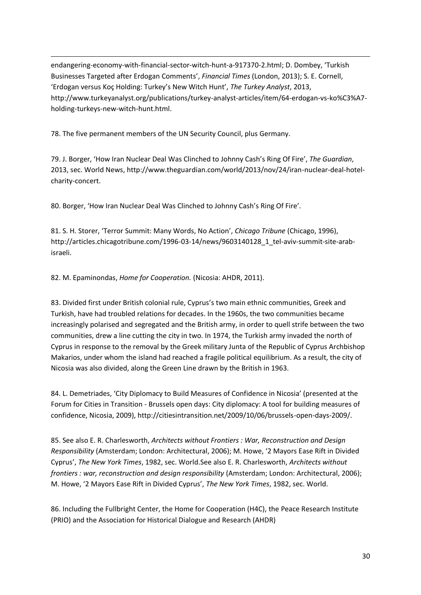1 endangering-economy-with-financial-sector-witch-hunt-a-917370-2.html; D. Dombey, 'Turkish Businesses Targeted after Erdogan Comments', *Financial Times* (London, 2013); S. E. Cornell, 'Erdogan versus Koç Holding: Turkey's New Witch Hunt', *The Turkey Analyst*, 2013, http://www.turkeyanalyst.org/publications/turkey-analyst-articles/item/64-erdogan-vs-ko%C3%A7 holding-turkeys-new-witch-hunt.html.

78. The five permanent members of the UN Security Council, plus Germany.

79. J. Borger, 'How Iran Nuclear Deal Was Clinched to Johnny Cash's Ring Of Fire', *The Guardian*, 2013, sec. World News, http://www.theguardian.com/world/2013/nov/24/iran-nuclear-deal-hotelcharity-concert.

80. Borger, 'How Iran Nuclear Deal Was Clinched to Johnny Cash's Ring Of Fire'.

81. S. H. Storer, 'Terror Summit: Many Words, No Action', *Chicago Tribune* (Chicago, 1996), http://articles.chicagotribune.com/1996-03-14/news/9603140128\_1\_tel-aviv-summit-site-arabisraeli.

82. M. Epaminondas, *Home for Cooperation.* (Nicosia: AHDR, 2011).

83. Divided first under British colonial rule, Cyprus's two main ethnic communities, Greek and Turkish, have had troubled relations for decades. In the 1960s, the two communities became increasingly polarised and segregated and the British army, in order to quell strife between the two communities, drew a line cutting the city in two. In 1974, the Turkish army invaded the north of Cyprus in response to the removal by the Greek military Junta of the Republic of Cyprus Archbishop Makarios, under whom the island had reached a fragile political equilibrium. As a result, the city of Nicosia was also divided, along the Green Line drawn by the British in 1963.

84. L. Demetriades, 'City Diplomacy to Build Measures of Confidence in Nicosia' (presented at the Forum for Cities in Transition - Brussels open days: City diplomacy: A tool for building measures of confidence, Nicosia, 2009), http://citiesintransition.net/2009/10/06/brussels-open-days-2009/.

85. See also E. R. Charlesworth, *Architects without Frontiers : War, Reconstruction and Design Responsibility* (Amsterdam; London: Architectural, 2006); M. Howe, '2 Mayors Ease Rift in Divided Cyprus', *The New York Times*, 1982, sec. World.See also E. R. Charlesworth, *Architects without frontiers : war, reconstruction and design responsibility* (Amsterdam; London: Architectural, 2006); M. Howe, '2 Mayors Ease Rift in Divided Cyprus', *The New York Times*, 1982, sec. World.

86. Including the Fullbright Center, the Home for Cooperation (H4C), the Peace Research Institute (PRIO) and the Association for Historical Dialogue and Research (AHDR)